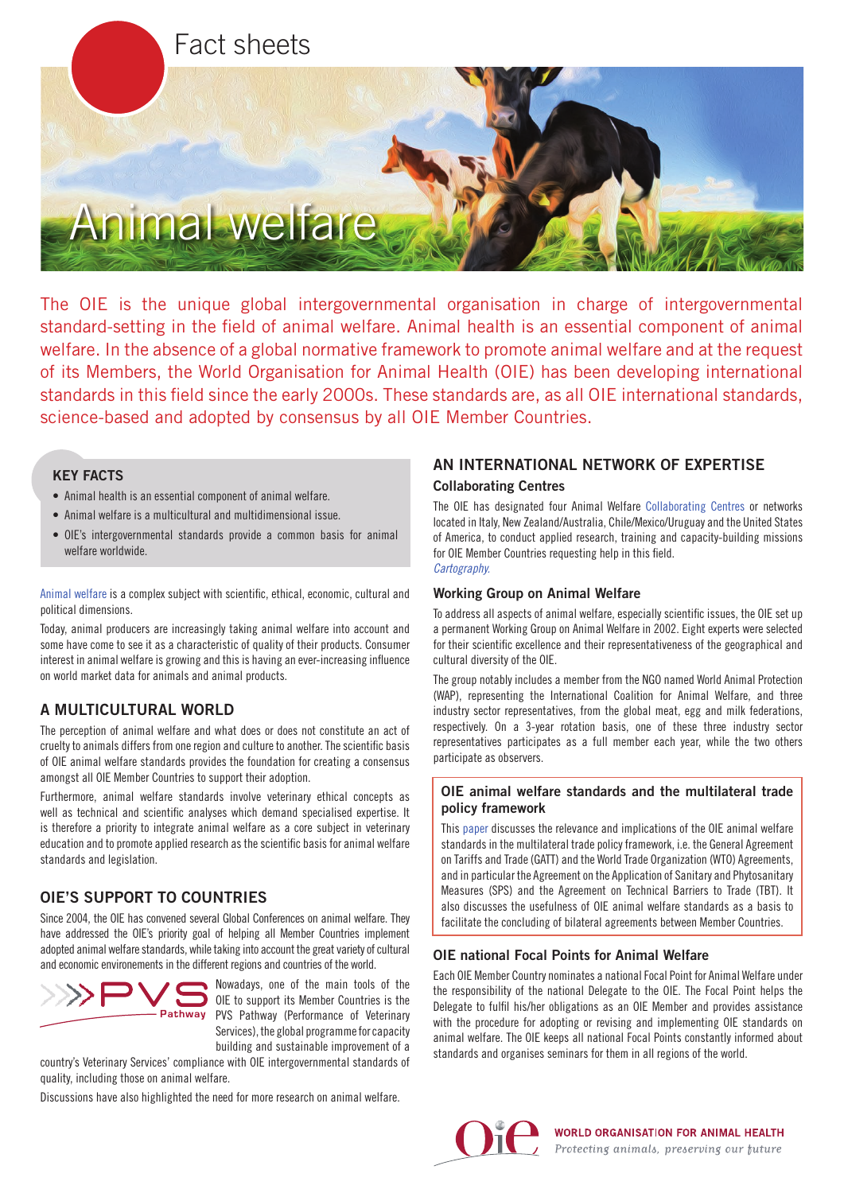

The OIE is the unique global intergovernmental organisation in charge of intergovernmental standard-setting in the field of animal welfare. Animal health is an essential component of animal welfare. In the absence of a global normative framework to promote animal welfare and at the request of its Members, the World Organisation for Animal Health (OIE) has been developing international standards in this field since the early 2000s. These standards are, as all OIE international standards, science-based and adopted by consensus by all OIE Member Countries.

## KEY FACTS

- Animal health is an essential component of animal welfare.
- Animal welfare is a multicultural and multidimensional issue.
- OIE's intergovernmental standards provide a common basis for animal welfare worldwide.

[Animal welfare](http://www.oie.int/en/animal-welfare/animal-welfare-key-themes/) is a complex subject with scientific, ethical, economic, cultural and political dimensions.

Today, animal producers are increasingly taking animal welfare into account and some have come to see it as a characteristic of quality of their products. Consumer interest in animal welfare is growing and this is having an ever-increasing influence on world market data for animals and animal products.

# A MULTICULTURAL WORLD

The perception of animal welfare and what does or does not constitute an act of cruelty to animals differs from one region and culture to another. The scientific basis of OIE animal welfare standards provides the foundation for creating a consensus amongst all OIE Member Countries to support their adoption.

Furthermore, animal welfare standards involve veterinary ethical concepts as well as technical and scientific analyses which demand specialised expertise. It is therefore a priority to integrate animal welfare as a core subject in veterinary education and to promote applied research as the scientific basis for animal welfare standards and legislation.

# OIE'S SUPPORT TO COUNTRIES

Since 2004, the OIE has convened several Global Conferences on animal welfare. They have addressed the OIE's priority goal of helping all Member Countries implement adopted animal welfare standards, while taking into account the great variety of cultural and economic environements in the different regions and countries of the world.



Nowadays, one of the main tools of the OIE to support its Member Countries is the PVS Pathway (Performance of Veterinary Services), the global programme for capacity building and sustainable improvement of a

country's Veterinary Services' compliance with OIE intergovernmental standards of quality, including those on animal welfare.

Discussions have also highlighted the need for more research on animal welfare.

## AN INTERNATIONAL NETWORK OF EXPERTISE

#### Collaborating Centres

The OIE has designated four Animal Welfare [Collaborating Centres](http://www.oie.int/en/our-scientific-expertise/collaborating-centres/list-of-centres/) or networks located in Italy, New Zealand/Australia, Chile/Mexico/Uruguay and the United States of America, to conduct applied research, training and capacity-building missions for OIE Member Countries requesting help in this field. *[Cartography.](http://www.90.oie.int/en/Cartography#/centers/welfare)*

### Working Group on Animal Welfare

To address all aspects of animal welfare, especially scientific issues, the OIE set up a permanent Working Group on Animal Welfare in 2002. Eight experts were selected for their scientific excellence and their representativeness of the geographical and cultural diversity of the OIE.

The group notably includes a member from the NGO named World Animal Protection (WAP), representing the International Coalition for Animal Welfare, and three industry sector representatives, from the global meat, egg and milk federations, respectively. On a 3-year rotation basis, one of these three industry sector representatives participates as a full member each year, while the two others participate as observers.

## OIE animal welfare standards and the multilateral trade policy framework

This [paper](http://www.oie.int/fileadmin/Home/eng/Animal_Welfare/docs/pdf/Others/Animal_welfare_and_Trade/A_WTO_Paper.pdf) discusses the relevance and implications of the OIE animal welfare standards in the multilateral trade policy framework, i.e. the General Agreement on Tariffs and Trade (GATT) and the World Trade Organization (WTO) Agreements, and in particular the Agreement on the Application of Sanitary and Phytosanitary Measures (SPS) and the Agreement on Technical Barriers to Trade (TBT). It also discusses the usefulness of OIE animal welfare standards as a basis to facilitate the concluding of bilateral agreements between Member Countries.

## OIE national Focal Points for Animal Welfare

Each OIE Member Country nominates a national Focal Point for Animal Welfare under the responsibility of the national Delegate to the OIE. The Focal Point helps the Delegate to fulfil his/her obligations as an OIE Member and provides assistance with the procedure for adopting or revising and implementing OIE standards on animal welfare. The OIE keeps all national Focal Points constantly informed about standards and organises seminars for them in all regions of the world.